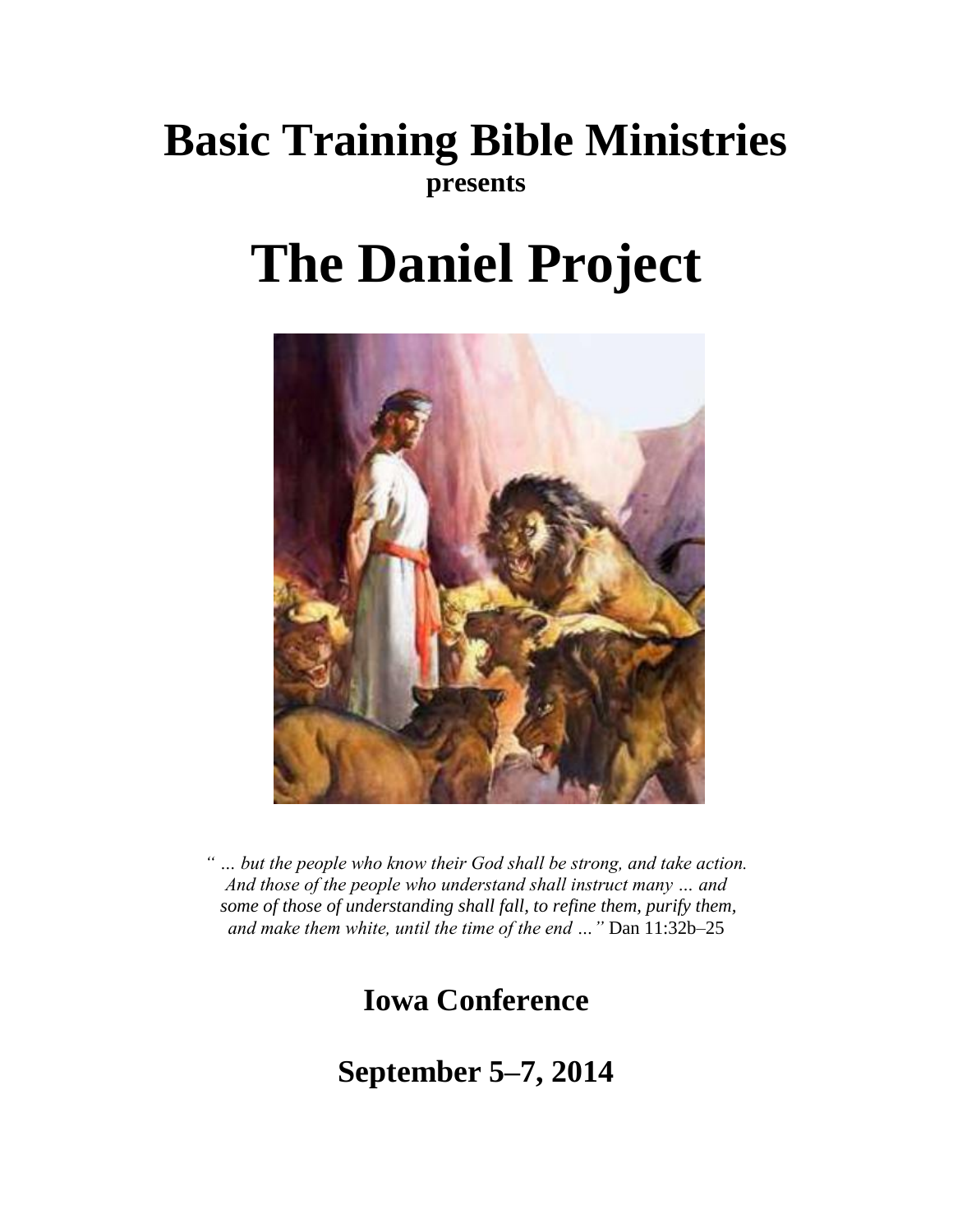# **Basic Training Bible Ministries presents**

# **The Daniel Project**



*" … but the people who know their God shall be strong, and take action. And those of the people who understand shall instruct many … and some of those of understanding shall fall, to refine them, purify them, and make them white, until the time of the end …"* Dan 11:32b–25

**Iowa Conference**

**September 5–7, 2014**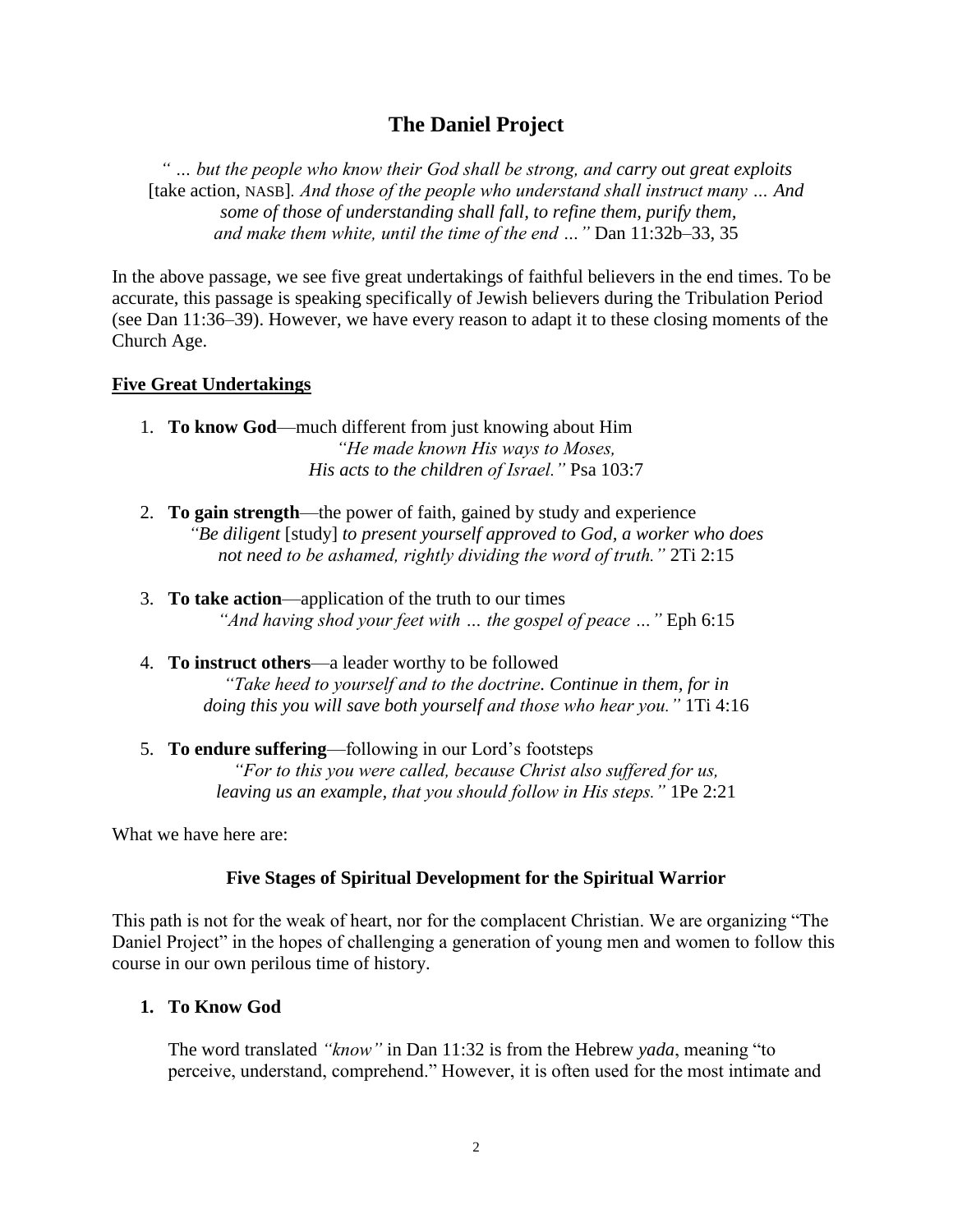# **The Daniel Project**

*" … but the people who know their God shall be strong, and carry out great exploits*  [take action, NASB]*. And those of the people who understand shall instruct many … And some of those of understanding shall fall, to refine them, purify them, and make them white, until the time of the end …"* Dan 11:32b–33, 35

In the above passage, we see five great undertakings of faithful believers in the end times. To be accurate, this passage is speaking specifically of Jewish believers during the Tribulation Period (see Dan 11:36–39). However, we have every reason to adapt it to these closing moments of the Church Age.

#### **Five Great Undertakings**

- 1. **To know God**—much different from just knowing about Him *"He made known His ways to Moses, His acts to the children of Israel."* Psa 103:7
- 2. **To gain strength**—the power of faith, gained by study and experience *"Be diligent* [study] *to present yourself approved to God, a worker who does not need to be ashamed, rightly dividing the word of truth."* 2Ti 2:15
- 3. **To take action**—application of the truth to our times *"And having shod your feet with … the gospel of peace …"* Eph 6:15
- 4. **To instruct others**—a leader worthy to be followed *"Take heed to yourself and to the doctrine. Continue in them, for in doing this you will save both yourself and those who hear you."* 1Ti 4:16
- 5. **To endure suffering**—following in our Lord's footsteps *"For to this you were called, because Christ also suffered for us, leaving us an example, that you should follow in His steps."* 1Pe 2:21

What we have here are:

# **Five Stages of Spiritual Development for the Spiritual Warrior**

This path is not for the weak of heart, nor for the complacent Christian. We are organizing "The Daniel Project" in the hopes of challenging a generation of young men and women to follow this course in our own perilous time of history.

#### **1. To Know God**

The word translated *"know"* in Dan 11:32 is from the Hebrew *yada*, meaning "to perceive, understand, comprehend." However, it is often used for the most intimate and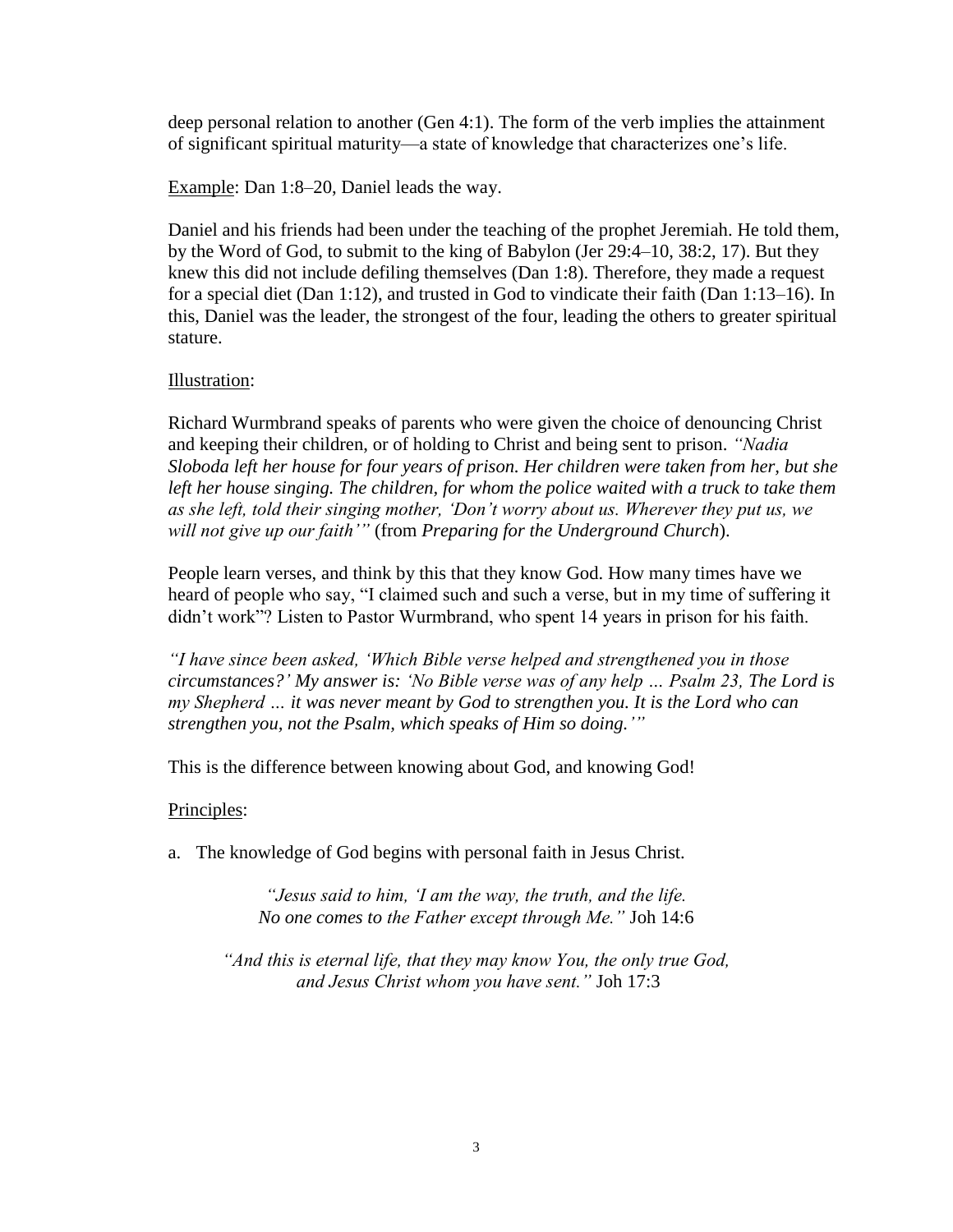deep personal relation to another (Gen 4:1). The form of the verb implies the attainment of significant spiritual maturity—a state of knowledge that characterizes one's life.

Example: Dan 1:8–20, Daniel leads the way.

Daniel and his friends had been under the teaching of the prophet Jeremiah. He told them, by the Word of God, to submit to the king of Babylon (Jer 29:4–10, 38:2, 17). But they knew this did not include defiling themselves (Dan 1:8). Therefore, they made a request for a special diet (Dan 1:12), and trusted in God to vindicate their faith (Dan 1:13–16). In this, Daniel was the leader, the strongest of the four, leading the others to greater spiritual stature.

#### Illustration:

Richard Wurmbrand speaks of parents who were given the choice of denouncing Christ and keeping their children, or of holding to Christ and being sent to prison. *"Nadia Sloboda left her house for four years of prison. Her children were taken from her, but she*  left her house singing. The children, for whom the police waited with a truck to take them *as she left, told their singing mother, 'Don't worry about us. Wherever they put us, we will not give up our faith'"* (from *Preparing for the Underground Church*).

People learn verses, and think by this that they know God. How many times have we heard of people who say, "I claimed such and such a verse, but in my time of suffering it didn't work"? Listen to Pastor Wurmbrand, who spent 14 years in prison for his faith.

*"I have since been asked, 'Which Bible verse helped and strengthened you in those circumstances?' My answer is: 'No Bible verse was of any help … Psalm 23, The Lord is my Shepherd … it was never meant by God to strengthen you. It is the Lord who can strengthen you, not the Psalm, which speaks of Him so doing.'"*

This is the difference between knowing about God, and knowing God!

# Principles:

a. The knowledge of God begins with personal faith in Jesus Christ.

*"Jesus said to him, 'I am the way, the truth, and the life. No one comes to the Father except through Me."* Joh 14:6

*"And this is eternal life, that they may know You, the only true God, and Jesus Christ whom you have sent."* Joh 17:3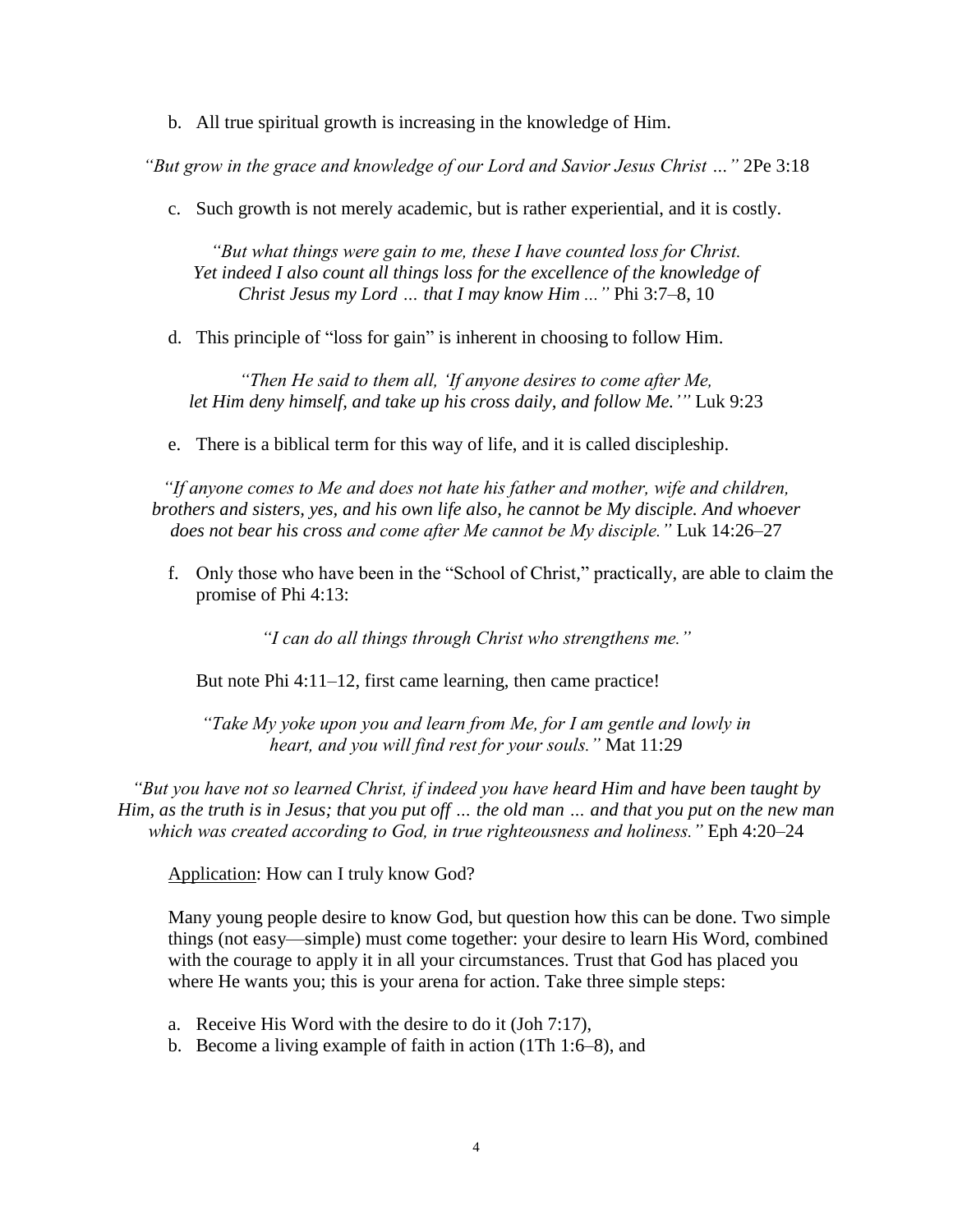b. All true spiritual growth is increasing in the knowledge of Him.

*"But grow in the grace and knowledge of our Lord and Savior Jesus Christ …"* 2Pe 3:18

c. Such growth is not merely academic, but is rather experiential, and it is costly.

*"But what things were gain to me, these I have counted loss for Christ.*  Yet indeed I also count all things loss for the excellence of the knowledge of *Christ Jesus my Lord … that I may know Him ..."* Phi 3:7–8, 10

d. This principle of "loss for gain" is inherent in choosing to follow Him.

*"Then He said to them all, 'If anyone desires to come after Me, let Him deny himself, and take up his cross daily, and follow Me.'"* Luk 9:23

e. There is a biblical term for this way of life, and it is called discipleship.

*"If anyone comes to Me and does not hate his father and mother, wife and children, brothers and sisters, yes, and his own life also, he cannot be My disciple. And whoever does not bear his cross and come after Me cannot be My disciple."* Luk 14:26–27

f. Only those who have been in the "School of Christ," practically, are able to claim the promise of Phi 4:13:

*"I can do all things through Christ who strengthens me."*

But note Phi 4:11–12, first came learning, then came practice!

*"Take My yoke upon you and learn from Me, for I am gentle and lowly in heart, and you will find rest for your souls."* Mat 11:29

*"But you have not so learned Christ, if indeed you have heard Him and have been taught by Him, as the truth is in Jesus; that you put off … the old man … and that you put on the new man which was created according to God, in true righteousness and holiness."* Eph 4:20–24

Application: How can I truly know God?

Many young people desire to know God, but question how this can be done. Two simple things (not easy—simple) must come together: your desire to learn His Word, combined with the courage to apply it in all your circumstances. Trust that God has placed you where He wants you; this is your arena for action. Take three simple steps:

- a. Receive His Word with the desire to do it (Joh 7:17),
- b. Become a living example of faith in action (1Th 1:6–8), and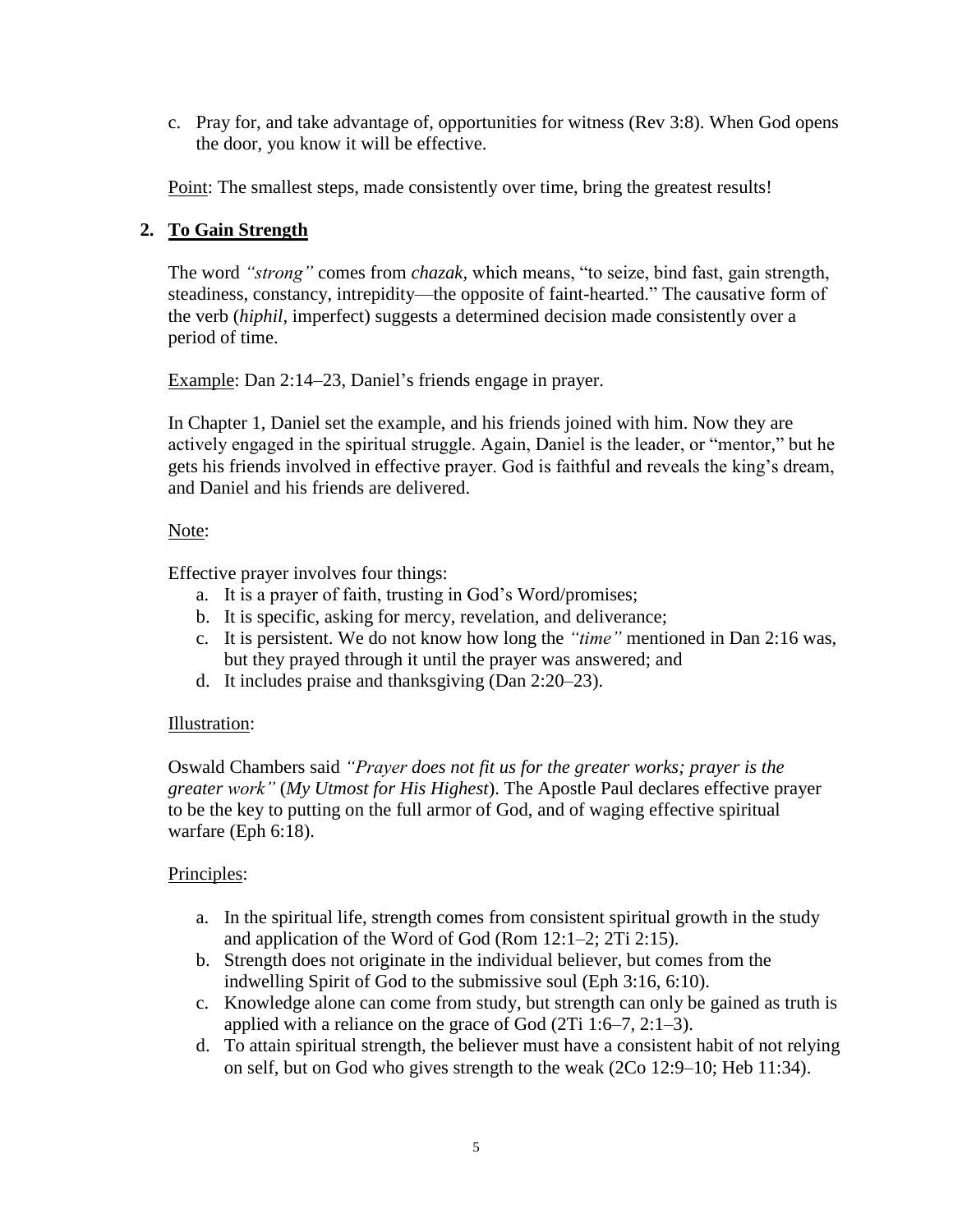c. Pray for, and take advantage of, opportunities for witness (Rev 3:8). When God opens the door, you know it will be effective.

Point: The smallest steps, made consistently over time, bring the greatest results!

# **2. To Gain Strength**

The word *"strong"* comes from *chazak,* which means, "to seize, bind fast, gain strength, steadiness, constancy, intrepidity—the opposite of faint-hearted." The causative form of the verb (*hiphil*, imperfect) suggests a determined decision made consistently over a period of time.

Example: Dan 2:14–23, Daniel's friends engage in prayer.

In Chapter 1, Daniel set the example, and his friends joined with him. Now they are actively engaged in the spiritual struggle. Again, Daniel is the leader, or "mentor," but he gets his friends involved in effective prayer. God is faithful and reveals the king's dream, and Daniel and his friends are delivered.

#### Note:

Effective prayer involves four things:

- a. It is a prayer of faith, trusting in God's Word/promises;
- b. It is specific, asking for mercy, revelation, and deliverance;
- c. It is persistent. We do not know how long the *"time"* mentioned in Dan 2:16 was, but they prayed through it until the prayer was answered; and
- d. It includes praise and thanksgiving (Dan 2:20–23).

# Illustration:

Oswald Chambers said *"Prayer does not fit us for the greater works; prayer is the greater work"* (*My Utmost for His Highest*). The Apostle Paul declares effective prayer to be the key to putting on the full armor of God, and of waging effective spiritual warfare (Eph 6:18).

# Principles:

- a. In the spiritual life, strength comes from consistent spiritual growth in the study and application of the Word of God (Rom 12:1–2; 2Ti 2:15).
- b. Strength does not originate in the individual believer, but comes from the indwelling Spirit of God to the submissive soul (Eph 3:16, 6:10).
- c. Knowledge alone can come from study, but strength can only be gained as truth is applied with a reliance on the grace of God (2Ti 1:6–7, 2:1–3).
- d. To attain spiritual strength, the believer must have a consistent habit of not relying on self, but on God who gives strength to the weak (2Co 12:9–10; Heb 11:34).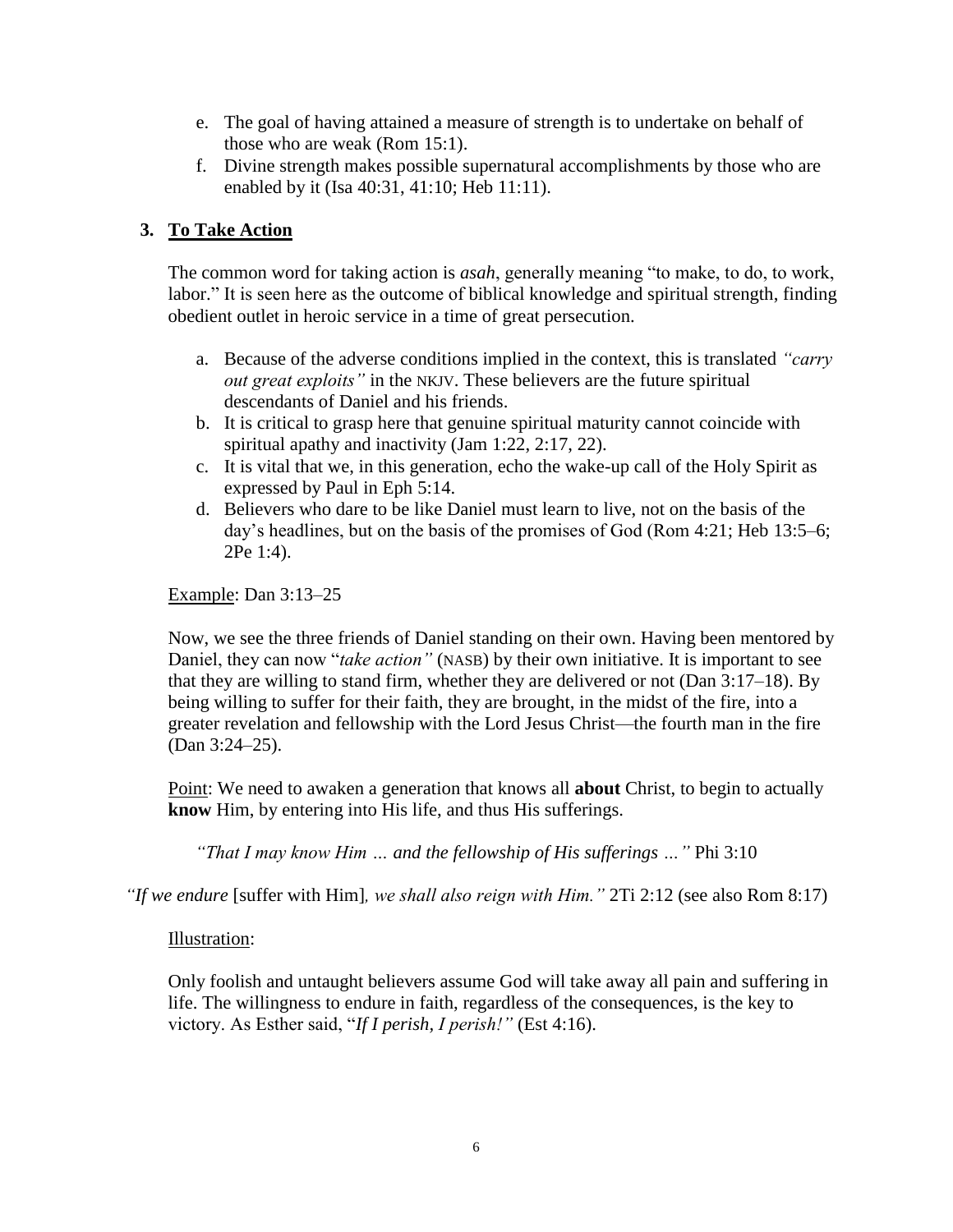- e. The goal of having attained a measure of strength is to undertake on behalf of those who are weak (Rom 15:1).
- f. Divine strength makes possible supernatural accomplishments by those who are enabled by it (Isa 40:31, 41:10; Heb 11:11).

# **3. To Take Action**

The common word for taking action is *asah*, generally meaning "to make, to do, to work, labor." It is seen here as the outcome of biblical knowledge and spiritual strength, finding obedient outlet in heroic service in a time of great persecution.

- a. Because of the adverse conditions implied in the context, this is translated *"carry out great exploits"* in the NKJV. These believers are the future spiritual descendants of Daniel and his friends.
- b. It is critical to grasp here that genuine spiritual maturity cannot coincide with spiritual apathy and inactivity (Jam 1:22, 2:17, 22).
- c. It is vital that we, in this generation, echo the wake-up call of the Holy Spirit as expressed by Paul in Eph 5:14.
- d. Believers who dare to be like Daniel must learn to live, not on the basis of the day's headlines, but on the basis of the promises of God (Rom 4:21; Heb 13:5–6; 2Pe 1:4).

Example: Dan 3:13–25

Now, we see the three friends of Daniel standing on their own. Having been mentored by Daniel, they can now "*take action"* (NASB) by their own initiative. It is important to see that they are willing to stand firm, whether they are delivered or not (Dan 3:17–18). By being willing to suffer for their faith, they are brought, in the midst of the fire, into a greater revelation and fellowship with the Lord Jesus Christ—the fourth man in the fire (Dan 3:24–25).

Point: We need to awaken a generation that knows all **about** Christ, to begin to actually **know** Him, by entering into His life, and thus His sufferings.

*"That I may know Him … and the fellowship of His sufferings …"* Phi 3:10

*"If we endure* [suffer with Him]*, we shall also reign with Him."* 2Ti 2:12 (see also Rom 8:17)

#### Illustration:

Only foolish and untaught believers assume God will take away all pain and suffering in life. The willingness to endure in faith, regardless of the consequences, is the key to victory. As Esther said, "*If I perish, I perish!"* (Est 4:16).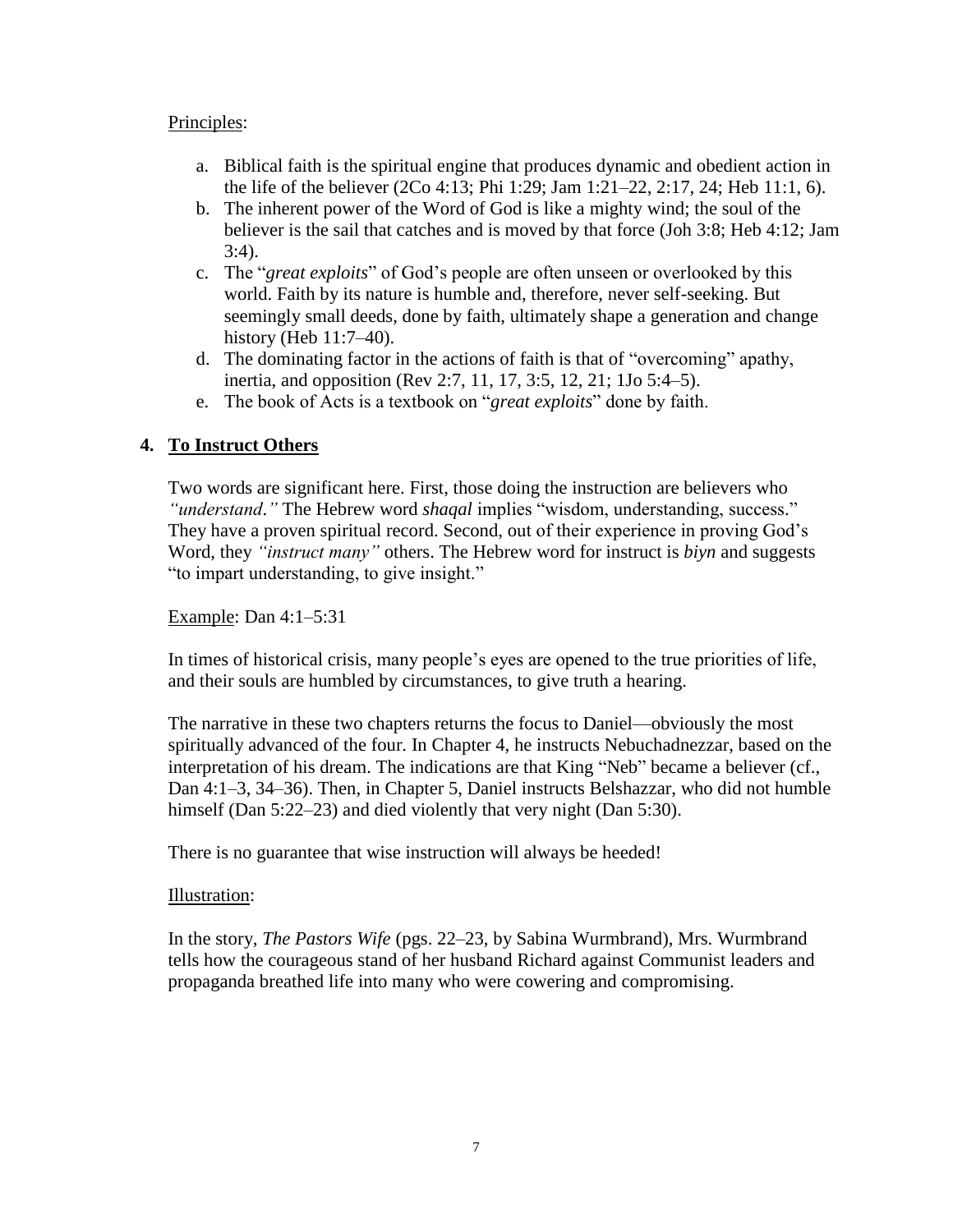#### Principles:

- a. Biblical faith is the spiritual engine that produces dynamic and obedient action in the life of the believer (2Co 4:13; Phi 1:29; Jam 1:21–22, 2:17, 24; Heb 11:1, 6).
- b. The inherent power of the Word of God is like a mighty wind; the soul of the believer is the sail that catches and is moved by that force (Joh 3:8; Heb 4:12; Jam 3:4).
- c. The "*great exploits*" of God's people are often unseen or overlooked by this world. Faith by its nature is humble and, therefore, never self-seeking. But seemingly small deeds, done by faith, ultimately shape a generation and change history (Heb 11:7–40).
- d. The dominating factor in the actions of faith is that of "overcoming" apathy, inertia, and opposition (Rev 2:7, 11, 17, 3:5, 12, 21; 1Jo 5:4–5).
- e. The book of Acts is a textbook on "*great exploits*" done by faith.

# **4. To Instruct Others**

Two words are significant here. First, those doing the instruction are believers who *"understand*.*"* The Hebrew word *shaqal* implies "wisdom, understanding, success." They have a proven spiritual record. Second, out of their experience in proving God's Word, they *"instruct many"* others. The Hebrew word for instruct is *biyn* and suggests "to impart understanding, to give insight."

Example: Dan 4:1–5:31

In times of historical crisis, many people's eyes are opened to the true priorities of life, and their souls are humbled by circumstances, to give truth a hearing.

The narrative in these two chapters returns the focus to Daniel—obviously the most spiritually advanced of the four. In Chapter 4, he instructs Nebuchadnezzar, based on the interpretation of his dream. The indications are that King "Neb" became a believer (cf., Dan 4:1–3, 34–36). Then, in Chapter 5, Daniel instructs Belshazzar, who did not humble himself (Dan 5:22–23) and died violently that very night (Dan 5:30).

There is no guarantee that wise instruction will always be heeded!

#### Illustration:

In the story, *The Pastors Wife* (pgs. 22–23, by Sabina Wurmbrand), Mrs. Wurmbrand tells how the courageous stand of her husband Richard against Communist leaders and propaganda breathed life into many who were cowering and compromising.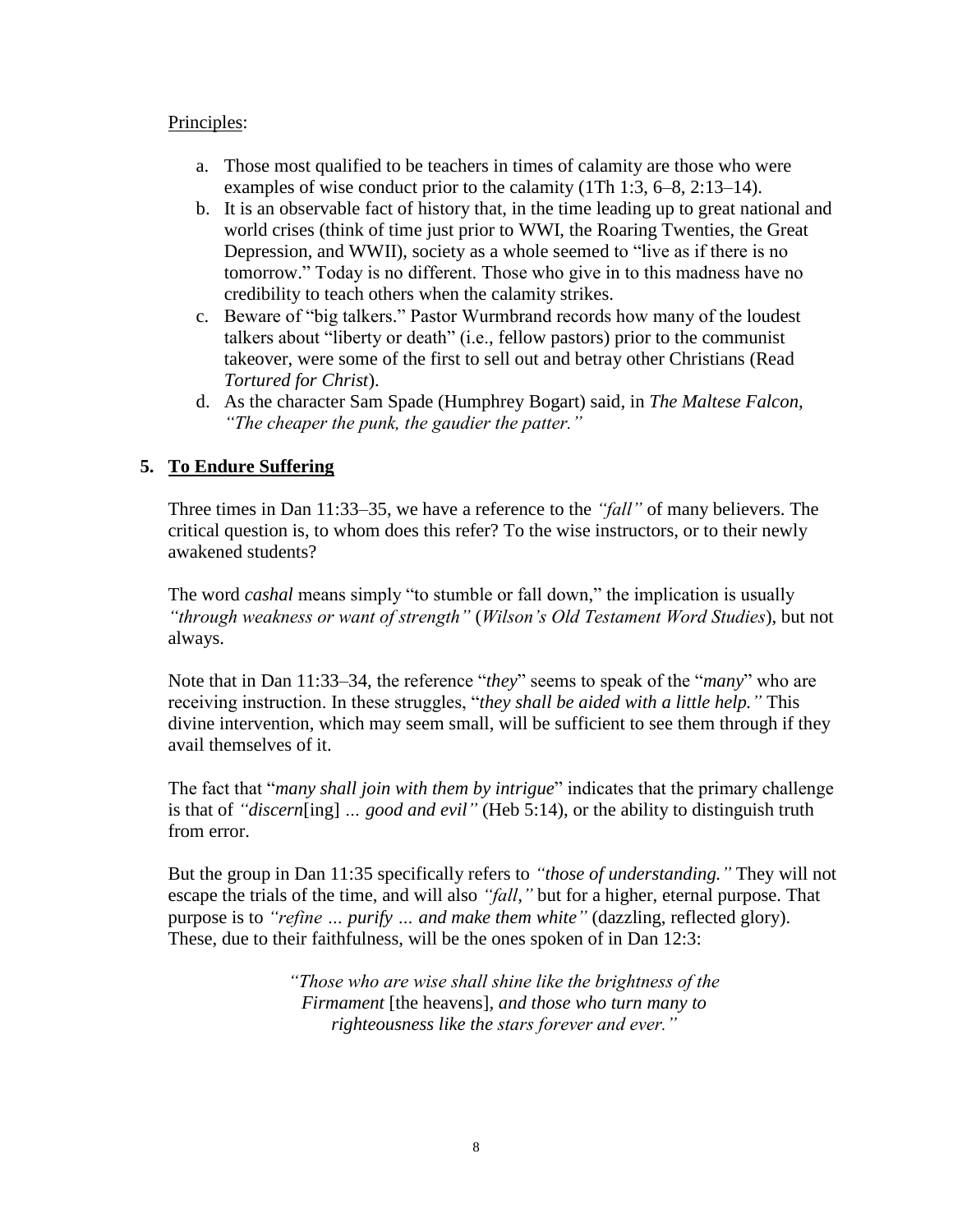#### Principles:

- a. Those most qualified to be teachers in times of calamity are those who were examples of wise conduct prior to the calamity (1Th 1:3, 6–8, 2:13–14).
- b. It is an observable fact of history that, in the time leading up to great national and world crises (think of time just prior to WWI, the Roaring Twenties, the Great Depression, and WWII), society as a whole seemed to "live as if there is no tomorrow." Today is no different. Those who give in to this madness have no credibility to teach others when the calamity strikes.
- c. Beware of "big talkers." Pastor Wurmbrand records how many of the loudest talkers about "liberty or death" (i.e., fellow pastors) prior to the communist takeover, were some of the first to sell out and betray other Christians (Read *Tortured for Christ*).
- d. As the character Sam Spade (Humphrey Bogart) said, in *The Maltese Falcon*, *"The cheaper the punk, the gaudier the patter."*

# **5. To Endure Suffering**

Three times in Dan 11:33–35, we have a reference to the *"fall"* of many believers. The critical question is, to whom does this refer? To the wise instructors, or to their newly awakened students?

The word *cashal* means simply "to stumble or fall down," the implication is usually *"through weakness or want of strength"* (*Wilson's Old Testament Word Studies*), but not always.

Note that in Dan 11:33–34, the reference "*they*" seems to speak of the "*many*" who are receiving instruction. In these struggles, "*they shall be aided with a little help."* This divine intervention, which may seem small, will be sufficient to see them through if they avail themselves of it.

The fact that "*many shall join with them by intrigue*" indicates that the primary challenge is that of *"discern*[ing] *… good and evil"* (Heb 5:14), or the ability to distinguish truth from error.

But the group in Dan 11:35 specifically refers to *"those of understanding."* They will not escape the trials of the time, and will also *"fall,"* but for a higher, eternal purpose. That purpose is to *"refine … purify … and make them white"* (dazzling, reflected glory). These, due to their faithfulness, will be the ones spoken of in Dan 12:3:

> *"Those who are wise shall shine like the brightness of the Firmament* [the heavens]*, and those who turn many to righteousness like the stars forever and ever."*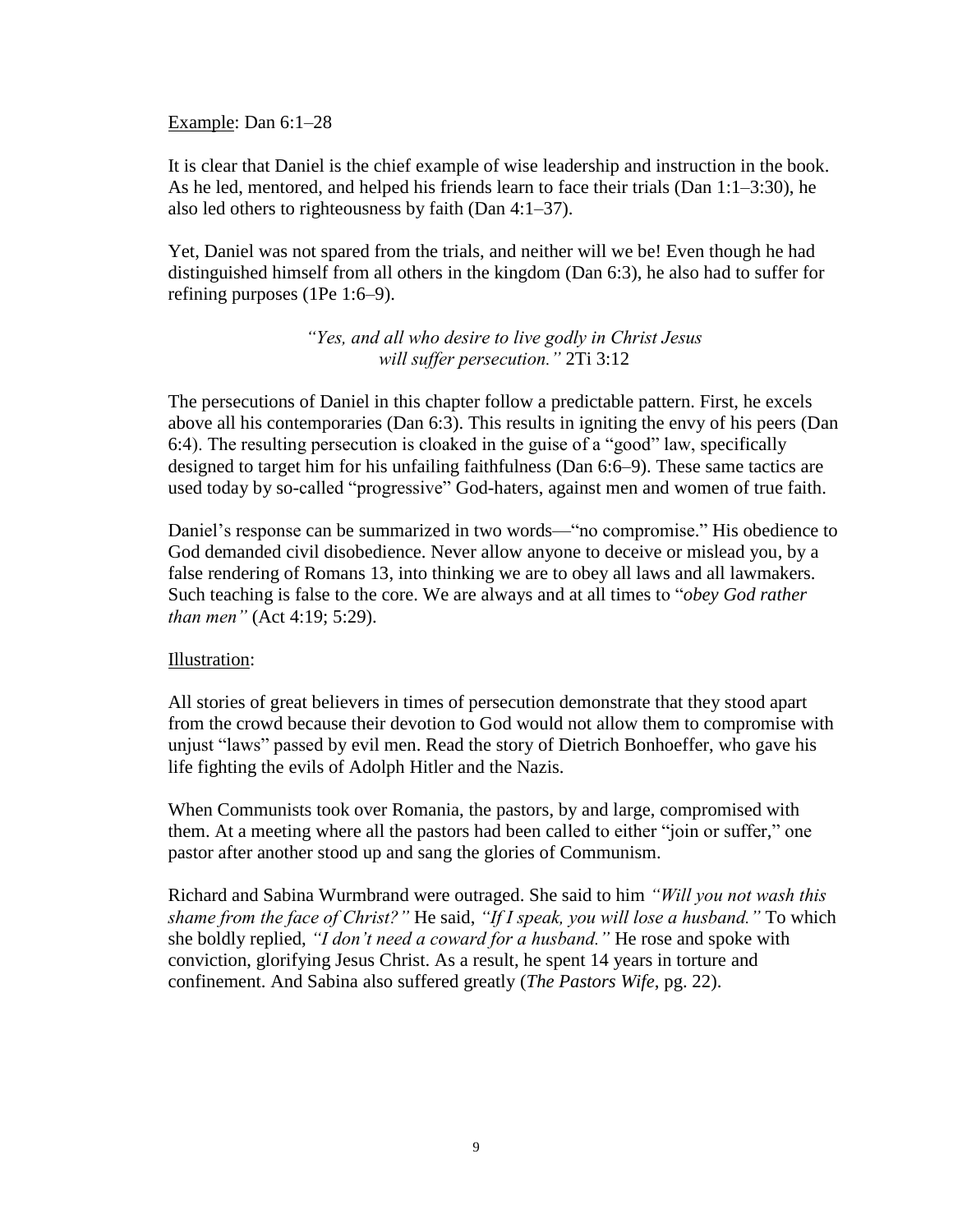Example: Dan 6:1–28

It is clear that Daniel is the chief example of wise leadership and instruction in the book. As he led, mentored, and helped his friends learn to face their trials (Dan 1:1–3:30), he also led others to righteousness by faith (Dan 4:1–37).

Yet, Daniel was not spared from the trials, and neither will we be! Even though he had distinguished himself from all others in the kingdom (Dan 6:3), he also had to suffer for refining purposes (1Pe 1:6–9).

> *"Yes, and all who desire to live godly in Christ Jesus will suffer persecution."* 2Ti 3:12

The persecutions of Daniel in this chapter follow a predictable pattern. First, he excels above all his contemporaries (Dan 6:3). This results in igniting the envy of his peers (Dan 6:4). The resulting persecution is cloaked in the guise of a "good" law, specifically designed to target him for his unfailing faithfulness (Dan 6:6–9). These same tactics are used today by so-called "progressive" God-haters, against men and women of true faith.

Daniel's response can be summarized in two words—"no compromise." His obedience to God demanded civil disobedience. Never allow anyone to deceive or mislead you, by a false rendering of Romans 13, into thinking we are to obey all laws and all lawmakers. Such teaching is false to the core. We are always and at all times to "*obey God rather than men"* (Act 4:19; 5:29).

#### Illustration:

All stories of great believers in times of persecution demonstrate that they stood apart from the crowd because their devotion to God would not allow them to compromise with unjust "laws" passed by evil men. Read the story of Dietrich Bonhoeffer, who gave his life fighting the evils of Adolph Hitler and the Nazis.

When Communists took over Romania, the pastors, by and large, compromised with them. At a meeting where all the pastors had been called to either "join or suffer," one pastor after another stood up and sang the glories of Communism.

Richard and Sabina Wurmbrand were outraged. She said to him *"Will you not wash this shame from the face of Christ?"* He said, *"If I speak, you will lose a husband."* To which she boldly replied, *"I don't need a coward for a husband."* He rose and spoke with conviction, glorifying Jesus Christ. As a result, he spent 14 years in torture and confinement. And Sabina also suffered greatly (*The Pastors Wife*, pg. 22).